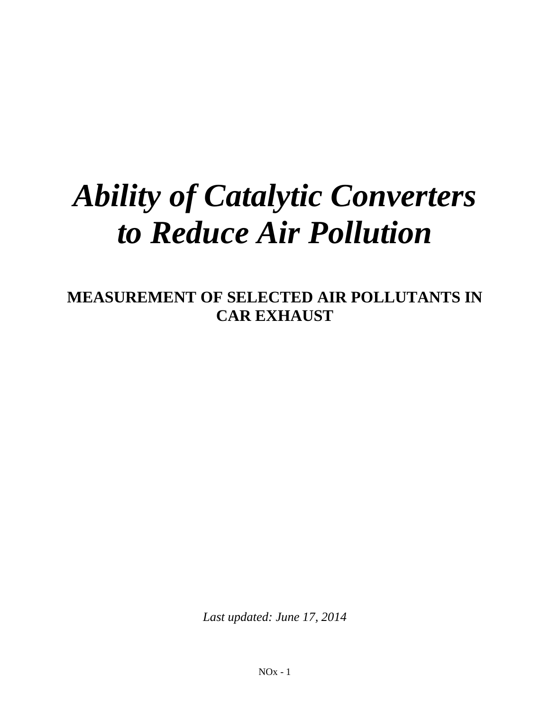# *Ability of Catalytic Converters to Reduce Air Pollution*

**MEASUREMENT OF SELECTED AIR POLLUTANTS IN CAR EXHAUST** 

*Last updated: June 17, 2014*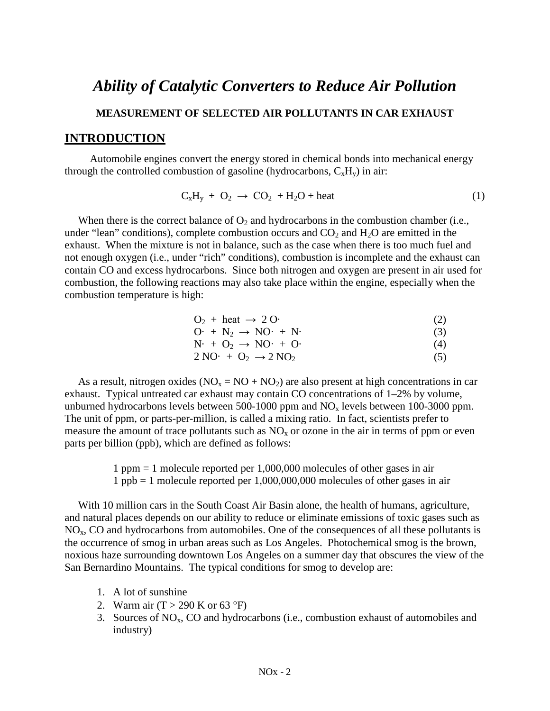# *Ability of Catalytic Converters to Reduce Air Pollution* **MEASUREMENT OF SELECTED AIR POLLUTANTS IN CAR EXHAUST INTRODUCTION**

 Automobile engines convert the energy stored in chemical bonds into mechanical energy through the controlled combustion of gasoline (hydrocarbons,  $C_xH_y$ ) in air:

$$
C_xH_y + O_2 \rightarrow CO_2 + H_2O + heat
$$
 (1)

When there is the correct balance of  $O_2$  and hydrocarbons in the combustion chamber (i.e., under "lean" conditions), complete combustion occurs and  $CO<sub>2</sub>$  and  $H<sub>2</sub>O$  are emitted in the exhaust. When the mixture is not in balance, such as the case when there is too much fuel and not enough oxygen (i.e., under "rich" conditions), combustion is incomplete and the exhaust can contain CO and excess hydrocarbons. Since both nitrogen and oxygen are present in air used for combustion, the following reactions may also take place within the engine, especially when the combustion temperature is high:

$$
O2 + heat \rightarrow 2 O \tag{2}
$$
  
\n
$$
O2 + N2 \rightarrow NO2 + N \tag{3}
$$

$$
N1 + N2 \rightarrow NO1 + N2
$$
 (3)  

$$
N1 + O2 \rightarrow NO1 + O2
$$
 (4)

$$
2\,\text{NO} + \text{O}_2 \rightarrow 2\,\text{NO}_2 \tag{5}
$$

As a result, nitrogen oxides ( $NO<sub>x</sub> = NO + NO<sub>2</sub>$ ) are also present at high concentrations in car exhaust. Typical untreated car exhaust may contain CO concentrations of 1–2% by volume, unburned hydrocarbons levels between 500-1000 ppm and  $NO<sub>x</sub>$  levels between 100-3000 ppm. The unit of ppm, or parts-per-million, is called a mixing ratio. In fact, scientists prefer to measure the amount of trace pollutants such as  $NO<sub>x</sub>$  or ozone in the air in terms of ppm or even parts per billion (ppb), which are defined as follows:

> 1 ppm = 1 molecule reported per 1,000,000 molecules of other gases in air 1 ppb = 1 molecule reported per 1,000,000,000 molecules of other gases in air

 With 10 million cars in the South Coast Air Basin alone, the health of humans, agriculture, and natural places depends on our ability to reduce or eliminate emissions of toxic gases such as  $NO<sub>x</sub>$ , CO and hydrocarbons from automobiles. One of the consequences of all these pollutants is the occurrence of smog in urban areas such as Los Angeles. Photochemical smog is the brown, noxious haze surrounding downtown Los Angeles on a summer day that obscures the view of the San Bernardino Mountains. The typical conditions for smog to develop are:

- 1. A lot of sunshine
- 2. Warm air  $(T > 290 \text{ K or } 63 \text{ }^{\circ}\text{F})$
- 3. Sources of  $NO<sub>x</sub>$ , CO and hydrocarbons (i.e., combustion exhaust of automobiles and industry)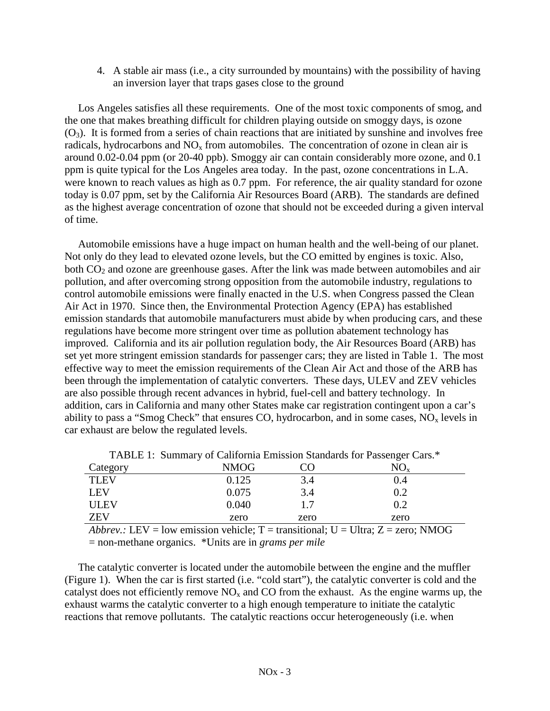4. A stable air mass (i.e., a city surrounded by mountains) with the possibility of having an inversion layer that traps gases close to the ground

 Los Angeles satisfies all these requirements. One of the most toxic components of smog, and the one that makes breathing difficult for children playing outside on smoggy days, is ozone  $(O_3)$ . It is formed from a series of chain reactions that are initiated by sunshine and involves free radicals, hydrocarbons and  $NO<sub>x</sub>$  from automobiles. The concentration of ozone in clean air is around 0.02-0.04 ppm (or 20-40 ppb). Smoggy air can contain considerably more ozone, and 0.1 ppm is quite typical for the Los Angeles area today. In the past, ozone concentrations in L.A. were known to reach values as high as 0.7 ppm. For reference, the air quality standard for ozone today is 0.07 ppm, set by the California Air Resources Board (ARB). The standards are defined as the highest average concentration of ozone that should not be exceeded during a given interval of time.

 Automobile emissions have a huge impact on human health and the well-being of our planet. Not only do they lead to elevated ozone levels, but the CO emitted by engines is toxic. Also, both  $CO<sub>2</sub>$  and ozone are greenhouse gases. After the link was made between automobiles and air pollution, and after overcoming strong opposition from the automobile industry, regulations to control automobile emissions were finally enacted in the U.S. when Congress passed the Clean Air Act in 1970. Since then, the Environmental Protection Agency (EPA) has established emission standards that automobile manufacturers must abide by when producing cars, and these regulations have become more stringent over time as pollution abatement technology has improved. California and its air pollution regulation body, the Air Resources Board (ARB) has set yet more stringent emission standards for passenger cars; they are listed in Table 1. The most effective way to meet the emission requirements of the Clean Air Act and those of the ARB has been through the implementation of catalytic converters. These days, ULEV and ZEV vehicles are also possible through recent advances in hybrid, fuel-cell and battery technology. In addition, cars in California and many other States make car registration contingent upon a car's ability to pass a "Smog Check" that ensures CO, hydrocarbon, and in some cases,  $NO<sub>x</sub>$  levels in car exhaust are below the regulated levels.

| Category    | <b>NMOG</b> | JU   | 1111211 11 Swimmar 7 Of Saint-Sima 11111551 of Saint-as 1911 a assumpt Saint-<br>$NO_{\rm v}$ |
|-------------|-------------|------|-----------------------------------------------------------------------------------------------|
| <b>TLEV</b> | 0.125       | 3.4  | 0.4                                                                                           |
| LEV         | 0.075       | 3.4  | 0.2                                                                                           |
| <b>ULEV</b> | 0.040       | 17   | 0.2                                                                                           |
| <b>ZEV</b>  | zero        | zero | zero                                                                                          |

TABLE 1: Summary of California Emission Standards for Passenger Cars.\*

*Abbrev.:* LEV = low emission vehicle;  $T =$  transitional;  $U =$  Ultra;  $Z =$  zero; NMOG = non-methane organics. \*Units are in *grams per mile*

 The catalytic converter is located under the automobile between the engine and the muffler (Figure 1). When the car is first started (i.e. "cold start"), the catalytic converter is cold and the catalyst does not efficiently remove  $NO<sub>x</sub>$  and CO from the exhaust. As the engine warms up, the exhaust warms the catalytic converter to a high enough temperature to initiate the catalytic reactions that remove pollutants. The catalytic reactions occur heterogeneously (i.e. when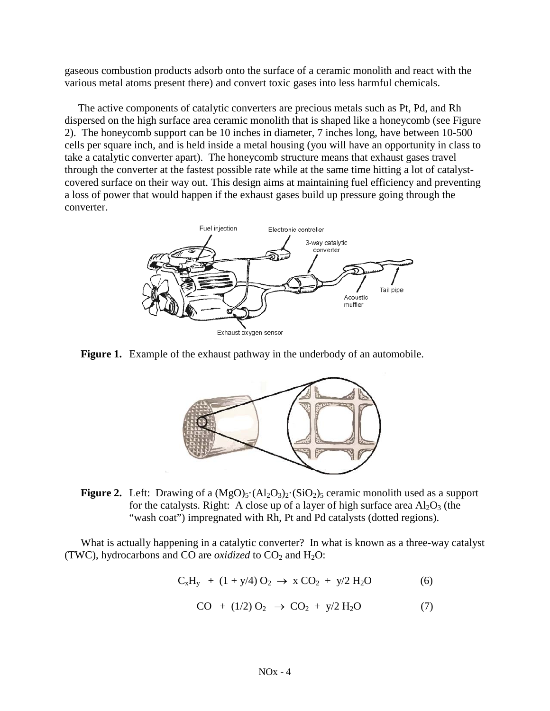gaseous combustion products adsorb onto the surface of a ceramic monolith and react with the various metal atoms present there) and convert toxic gases into less harmful chemicals.

 The active components of catalytic converters are precious metals such as Pt, Pd, and Rh dispersed on the high surface area ceramic monolith that is shaped like a honeycomb (see Figure 2). The honeycomb support can be 10 inches in diameter, 7 inches long, have between 10-500 cells per square inch, and is held inside a metal housing (you will have an opportunity in class to take a catalytic converter apart). The honeycomb structure means that exhaust gases travel through the converter at the fastest possible rate while at the same time hitting a lot of catalystcovered surface on their way out. This design aims at maintaining fuel efficiency and preventing a loss of power that would happen if the exhaust gases build up pressure going through the converter.



**Figure 1.** Example of the exhaust pathway in the underbody of an automobile.



**Figure 2.** Left: Drawing of a  $(MgO)_5 \cdot (Al_2O_3)_2 \cdot (SiO_2)_5$  ceramic monolith used as a support for the catalysts. Right: A close up of a layer of high surface area  $Al_2O_3$  (the "wash coat") impregnated with Rh, Pt and Pd catalysts (dotted regions).

 What is actually happening in a catalytic converter? In what is known as a three-way catalyst (TWC), hydrocarbons and CO are *oxidized* to  $CO<sub>2</sub>$  and  $H<sub>2</sub>O$ :

$$
C_xH_y + (1 + y/4) O_2 \to x CO_2 + y/2 H_2O
$$
 (6)

$$
CO + (1/2) O_2 \rightarrow CO_2 + y/2 H_2O \tag{7}
$$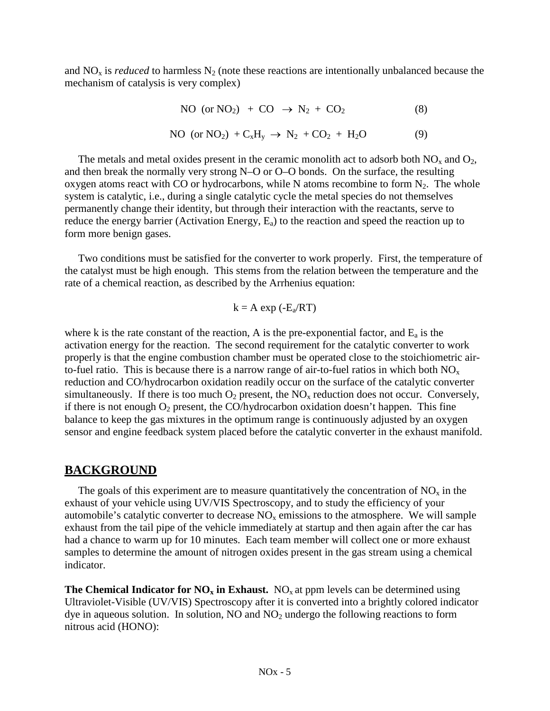and  $NO<sub>x</sub>$  is *reduced* to harmless  $N<sub>2</sub>$  (note these reactions are intentionally unbalanced because the mechanism of catalysis is very complex)

NO (or NO<sub>2</sub>) + CO 
$$
\rightarrow
$$
 N<sub>2</sub> + CO<sub>2</sub> (8)  
NO (or NO<sub>2</sub>) + C<sub>x</sub>H<sub>y</sub>  $\rightarrow$  N<sub>2</sub> + CO<sub>2</sub> + H<sub>2</sub>O (9)

The metals and metal oxides present in the ceramic monolith act to adsorb both  $NO<sub>x</sub>$  and  $O<sub>2</sub>$ , and then break the normally very strong N–O or O–O bonds. On the surface, the resulting oxygen atoms react with CO or hydrocarbons, while N atoms recombine to form  $N_2$ . The whole system is catalytic, i.e., during a single catalytic cycle the metal species do not themselves permanently change their identity, but through their interaction with the reactants, serve to reduce the energy barrier (Activation Energy,  $E_a$ ) to the reaction and speed the reaction up to form more benign gases.

 Two conditions must be satisfied for the converter to work properly. First, the temperature of the catalyst must be high enough. This stems from the relation between the temperature and the rate of a chemical reaction, as described by the Arrhenius equation:

$$
k = A \exp(-E_a/RT)
$$

where k is the rate constant of the reaction, A is the pre-exponential factor, and  $E_a$  is the activation energy for the reaction. The second requirement for the catalytic converter to work properly is that the engine combustion chamber must be operated close to the stoichiometric airto-fuel ratio. This is because there is a narrow range of air-to-fuel ratios in which both  $NO_x$ reduction and CO/hydrocarbon oxidation readily occur on the surface of the catalytic converter simultaneously. If there is too much  $O_2$  present, the  $NO<sub>x</sub>$  reduction does not occur. Conversely, if there is not enough  $O_2$  present, the CO/hydrocarbon oxidation doesn't happen. This fine balance to keep the gas mixtures in the optimum range is continuously adjusted by an oxygen sensor and engine feedback system placed before the catalytic converter in the exhaust manifold.

# **BACKGROUND**

The goals of this experiment are to measure quantitatively the concentration of  $NO<sub>x</sub>$  in the exhaust of your vehicle using UV/VIS Spectroscopy, and to study the efficiency of your automobile's catalytic converter to decrease  $NO<sub>x</sub>$  emissions to the atmosphere. We will sample exhaust from the tail pipe of the vehicle immediately at startup and then again after the car has had a chance to warm up for 10 minutes. Each team member will collect one or more exhaust samples to determine the amount of nitrogen oxides present in the gas stream using a chemical indicator.

**The Chemical Indicator for**  $NO_x$  **in Exhaust.**  $NO_x$  at ppm levels can be determined using Ultraviolet-Visible (UV/VIS) Spectroscopy after it is converted into a brightly colored indicator dye in aqueous solution. In solution,  $NO$  and  $NO<sub>2</sub>$  undergo the following reactions to form nitrous acid (HONO):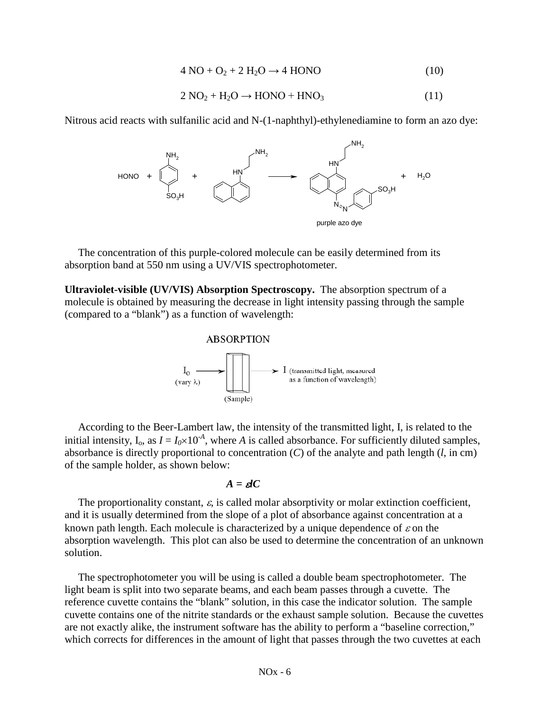$$
4\,\text{NO} + \text{O}_2 + 2\,\text{H}_2\text{O} \rightarrow 4\,\text{HONO} \tag{10}
$$

$$
2 NO2 + H2O \rightarrow HONO + HNO3
$$
 (11)

Nitrous acid reacts with sulfanilic acid and N-(1-naphthyl)-ethylenediamine to form an azo dye:



 The concentration of this purple-colored molecule can be easily determined from its absorption band at 550 nm using a UV/VIS spectrophotometer.

**Ultraviolet-visible (UV/VIS) Absorption Spectroscopy.** The absorption spectrum of a molecule is obtained by measuring the decrease in light intensity passing through the sample (compared to a "blank") as a function of wavelength:



 According to the Beer-Lambert law, the intensity of the transmitted light, I, is related to the initial intensity,  $I_0$ , as  $I = I_0 \times 10^{-A}$ , where *A* is called absorbance. For sufficiently diluted samples, absorbance is directly proportional to concentration (*C*) of the analyte and path length (*l*, in cm) of the sample holder, as shown below:

$$
A = \boldsymbol{d}C
$$

The proportionality constant,  $\varepsilon$ , is called molar absorptivity or molar extinction coefficient, and it is usually determined from the slope of a plot of absorbance against concentration at a known path length. Each molecule is characterized by a unique dependence of  $\varepsilon$  on the absorption wavelength. This plot can also be used to determine the concentration of an unknown solution.

 The spectrophotometer you will be using is called a double beam spectrophotometer. The light beam is split into two separate beams, and each beam passes through a cuvette. The reference cuvette contains the "blank" solution, in this case the indicator solution. The sample cuvette contains one of the nitrite standards or the exhaust sample solution. Because the cuvettes are not exactly alike, the instrument software has the ability to perform a "baseline correction," which corrects for differences in the amount of light that passes through the two cuvettes at each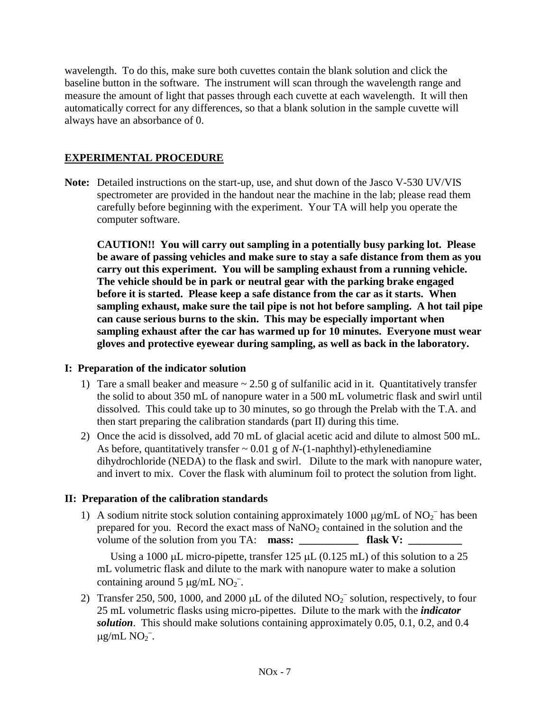wavelength. To do this, make sure both cuvettes contain the blank solution and click the baseline button in the software. The instrument will scan through the wavelength range and measure the amount of light that passes through each cuvette at each wavelength. It will then automatically correct for any differences, so that a blank solution in the sample cuvette will always have an absorbance of 0.

### **EXPERIMENTAL PROCEDURE**

**Note:** Detailed instructions on the start-up, use, and shut down of the Jasco V-530 UV/VIS spectrometer are provided in the handout near the machine in the lab; please read them carefully before beginning with the experiment. Your TA will help you operate the computer software.

**CAUTION!! You will carry out sampling in a potentially busy parking lot. Please be aware of passing vehicles and make sure to stay a safe distance from them as you carry out this experiment. You will be sampling exhaust from a running vehicle. The vehicle should be in park or neutral gear with the parking brake engaged before it is started. Please keep a safe distance from the car as it starts. When sampling exhaust, make sure the tail pipe is not hot before sampling. A hot tail pipe can cause serious burns to the skin. This may be especially important when sampling exhaust after the car has warmed up for 10 minutes. Everyone must wear gloves and protective eyewear during sampling, as well as back in the laboratory.**

#### **I: Preparation of the indicator solution**

- 1) Tare a small beaker and measure  $\sim 2.50$  g of sulfanilic acid in it. Quantitatively transfer the solid to about 350 mL of nanopure water in a 500 mL volumetric flask and swirl until dissolved. This could take up to 30 minutes, so go through the Prelab with the T.A. and then start preparing the calibration standards (part II) during this time.
- 2) Once the acid is dissolved, add 70 mL of glacial acetic acid and dilute to almost 500 mL. As before, quantitatively transfer  $\sim 0.01$  g of *N*-(1-naphthyl)-ethylenediamine dihydrochloride (NEDA) to the flask and swirl. Dilute to the mark with nanopure water, and invert to mix. Cover the flask with aluminum foil to protect the solution from light.

#### **II: Preparation of the calibration standards**

1) A sodium nitrite stock solution containing approximately 1000  $\mu$ g/mL of NO<sub>2</sub><sup>-</sup> has been prepared for you. Record the exact mass of  $\text{NaNO}_2$  contained in the solution and the volume of the solution from you TA: **mass: flask V:** 

Using a 1000  $\mu$ L micro-pipette, transfer 125  $\mu$ L (0.125 mL) of this solution to a 25 mL volumetric flask and dilute to the mark with nanopure water to make a solution containing around 5  $\mu$ g/mL NO<sub>2</sub><sup>-</sup>.

2) Transfer 250, 500, 1000, and 2000  $\mu$ L of the diluted NO<sub>2</sub><sup>-</sup> solution, respectively, to four 25 mL volumetric flasks using micro-pipettes. Dilute to the mark with the *indicator solution*. This should make solutions containing approximately 0.05, 0.1, 0.2, and 0.4  $\mu$ g/mL NO<sub>2</sub><sup>-</sup>.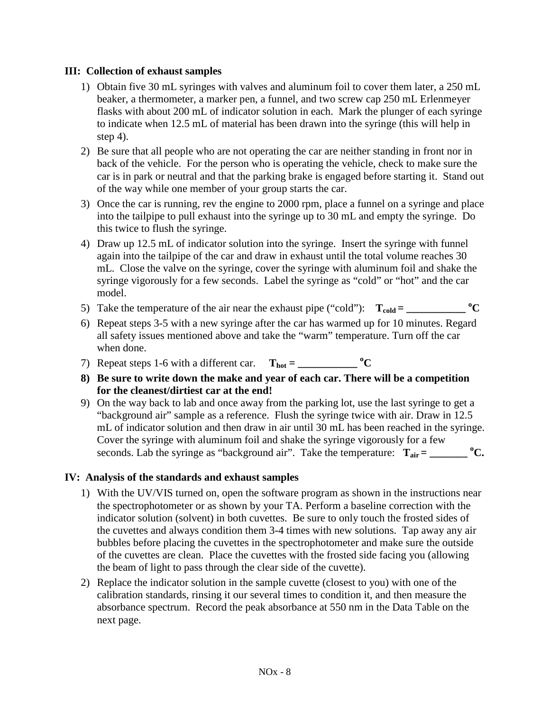#### **III: Collection of exhaust samples**

- 1) Obtain five 30 mL syringes with valves and aluminum foil to cover them later, a 250 mL beaker, a thermometer, a marker pen, a funnel, and two screw cap 250 mL Erlenmeyer flasks with about 200 mL of indicator solution in each. Mark the plunger of each syringe to indicate when 12.5 mL of material has been drawn into the syringe (this will help in step 4).
- 2) Be sure that all people who are not operating the car are neither standing in front nor in back of the vehicle. For the person who is operating the vehicle, check to make sure the car is in park or neutral and that the parking brake is engaged before starting it. Stand out of the way while one member of your group starts the car.
- 3) Once the car is running, rev the engine to 2000 rpm, place a funnel on a syringe and place into the tailpipe to pull exhaust into the syringe up to 30 mL and empty the syringe. Do this twice to flush the syringe.
- 4) Draw up 12.5 mL of indicator solution into the syringe. Insert the syringe with funnel again into the tailpipe of the car and draw in exhaust until the total volume reaches 30 mL. Close the valve on the syringe, cover the syringe with aluminum foil and shake the syringe vigorously for a few seconds. Label the syringe as "cold" or "hot" and the car model.
- 5) Take the temperature of the air near the exhaust pipe ("cold"):  $T_{cold} =$  \_\_\_\_\_\_\_\_\_\_\_\_\_\_ °C
- 6) Repeat steps 3-5 with a new syringe after the car has warmed up for 10 minutes. Regard all safety issues mentioned above and take the "warm" temperature. Turn off the car when done.
- 7) Repeat steps 1-6 with a different car.  $T_{hot} =$ <sup>o</sup>C
- **8) Be sure to write down the make and year of each car. There will be a competition for the cleanest/dirtiest car at the end!**
- 9) On the way back to lab and once away from the parking lot, use the last syringe to get a "background air" sample as a reference. Flush the syringe twice with air. Draw in 12.5 mL of indicator solution and then draw in air until 30 mL has been reached in the syringe. Cover the syringe with aluminum foil and shake the syringe vigorously for a few seconds. Lab the syringe as "background air". Take the temperature:  $T_{air} =$  \_\_\_\_\_\_\_\_ °C.

#### **IV: Analysis of the standards and exhaust samples**

- 1) With the UV/VIS turned on, open the software program as shown in the instructions near the spectrophotometer or as shown by your TA. Perform a baseline correction with the indicator solution (solvent) in both cuvettes. Be sure to only touch the frosted sides of the cuvettes and always condition them 3-4 times with new solutions. Tap away any air bubbles before placing the cuvettes in the spectrophotometer and make sure the outside of the cuvettes are clean. Place the cuvettes with the frosted side facing you (allowing the beam of light to pass through the clear side of the cuvette).
- 2) Replace the indicator solution in the sample cuvette (closest to you) with one of the calibration standards, rinsing it our several times to condition it, and then measure the absorbance spectrum. Record the peak absorbance at 550 nm in the Data Table on the next page.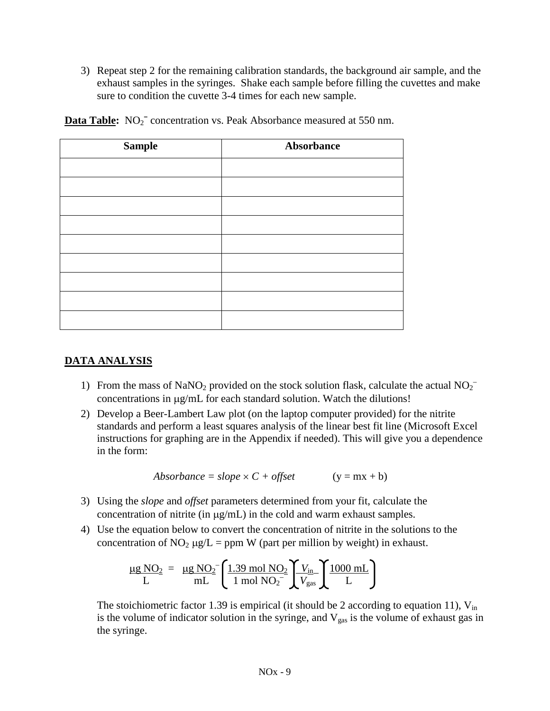3) Repeat step 2 for the remaining calibration standards, the background air sample, and the exhaust samples in the syringes. Shake each sample before filling the cuvettes and make sure to condition the cuvette 3-4 times for each new sample.

| <b>Sample</b> | Absorbance |  |
|---------------|------------|--|
|               |            |  |
|               |            |  |
|               |            |  |
|               |            |  |
|               |            |  |
|               |            |  |
|               |            |  |
|               |            |  |
|               |            |  |

**Data Table:** NO<sub>2</sub><sup>-</sup> concentration vs. Peak Absorbance measured at 550 nm.

# **DATA ANALYSIS**

- 1) From the mass of NaNO<sub>2</sub> provided on the stock solution flask, calculate the actual NO<sub>2</sub><sup>-</sup> concentrations in µg/mL for each standard solution. Watch the dilutions!
- 2) Develop a Beer-Lambert Law plot (on the laptop computer provided) for the nitrite standards and perform a least squares analysis of the linear best fit line (Microsoft Excel instructions for graphing are in the Appendix if needed). This will give you a dependence in the form:

$$
Absorbance = slope \times C + offset \qquad (y = mx + b)
$$

- 3) Using the *slope* and *offset* parameters determined from your fit, calculate the concentration of nitrite (in µg/mL) in the cold and warm exhaust samples.
- 4) Use the equation below to convert the concentration of nitrite in the solutions to the concentration of NO<sub>2</sub>  $\mu$ g/L = ppm W (part per million by weight) in exhaust.

$$
\frac{\mu g N O_2}{L} = \frac{\mu g N O_2}{m L} \left( \frac{1.39 \text{ mol } N O_2}{1 \text{ mol } N O_2} \left( \frac{V_{\text{in}}}{V_{\text{gas}}} \right) \frac{1000 \text{ mL}}{L} \right)
$$

The stoichiometric factor 1.39 is empirical (it should be 2 according to equation 11),  $V_{in}$ is the volume of indicator solution in the syringe, and  $V_{gas}$  is the volume of exhaust gas in the syringe.